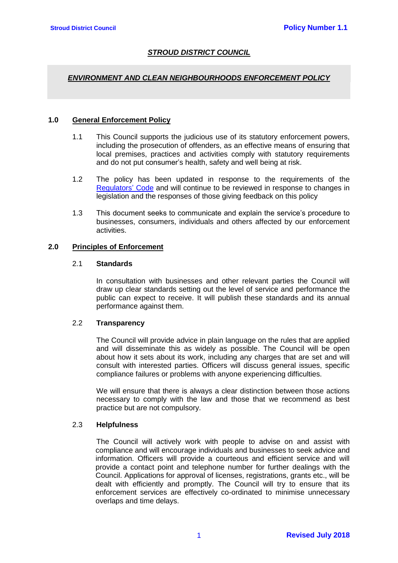# *STROUD DISTRICT COUNCIL*

## *ENVIRONMENT AND CLEAN NEIGHBOURHOODS ENFORCEMENT POLICY*

#### **1.0 General Enforcement Policy**

- 1.1 This Council supports the judicious use of its statutory enforcement powers, including the prosecution of offenders, as an effective means of ensuring that local premises, practices and activities comply with statutory requirements and do not put consumer's health, safety and well being at risk.
- 1.2 The policy has been updated in response to the requirements of the [Regulators'](https://assets.publishing.service.gov.uk/government/uploads/system/uploads/attachment_data/file/300126/14-705-regulators-code.pdf) Code and will continue to be reviewed in response to changes in legislation and the responses of those giving feedback on this policy
- 1.3 This document seeks to communicate and explain the service's procedure to businesses, consumers, individuals and others affected by our enforcement activities.

# **2.0 Principles of Enforcement**

### 2.1 **Standards**

In consultation with businesses and other relevant parties the Council will draw up clear standards setting out the level of service and performance the public can expect to receive. It will publish these standards and its annual performance against them.

#### 2.2 **Transparency**

The Council will provide advice in plain language on the rules that are applied and will disseminate this as widely as possible. The Council will be open about how it sets about its work, including any charges that are set and will consult with interested parties. Officers will discuss general issues, specific compliance failures or problems with anyone experiencing difficulties.

We will ensure that there is always a clear distinction between those actions necessary to comply with the law and those that we recommend as best practice but are not compulsory.

## 2.3 **Helpfulness**

The Council will actively work with people to advise on and assist with compliance and will encourage individuals and businesses to seek advice and information. Officers will provide a courteous and efficient service and will provide a contact point and telephone number for further dealings with the Council. Applications for approval of licenses, registrations, grants etc., will be dealt with efficiently and promptly. The Council will try to ensure that its enforcement services are effectively co-ordinated to minimise unnecessary overlaps and time delays.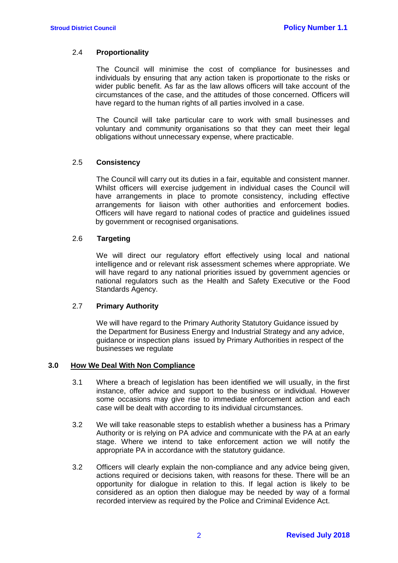## 2.4 **Proportionality**

The Council will minimise the cost of compliance for businesses and individuals by ensuring that any action taken is proportionate to the risks or wider public benefit. As far as the law allows officers will take account of the circumstances of the case, and the attitudes of those concerned. Officers will have regard to the human rights of all parties involved in a case.

The Council will take particular care to work with small businesses and voluntary and community organisations so that they can meet their legal obligations without unnecessary expense, where practicable.

## 2.5 **Consistency**

The Council will carry out its duties in a fair, equitable and consistent manner. Whilst officers will exercise judgement in individual cases the Council will have arrangements in place to promote consistency, including effective arrangements for liaison with other authorities and enforcement bodies. Officers will have regard to national codes of practice and guidelines issued by government or recognised organisations.

### 2.6 **Targeting**

We will direct our regulatory effort effectively using local and national intelligence and or relevant risk assessment schemes where appropriate. We will have regard to any national priorities issued by government agencies or national regulators such as the Health and Safety Executive or the Food Standards Agency.

#### 2.7 **Primary Authority**

We will have regard to the Primary Authority Statutory Guidance issued by the Department for Business Energy and Industrial Strategy and any advice, guidance or inspection plans issued by Primary Authorities in respect of the businesses we regulate

#### **3.0 How We Deal With Non Compliance**

- 3.1 Where a breach of legislation has been identified we will usually, in the first instance, offer advice and support to the business or individual. However some occasions may give rise to immediate enforcement action and each case will be dealt with according to its individual circumstances.
- 3.2 We will take reasonable steps to establish whether a business has a Primary Authority or is relying on PA advice and communicate with the PA at an early stage. Where we intend to take enforcement action we will notify the appropriate PA in accordance with the statutory guidance.
- 3.2 Officers will clearly explain the non-compliance and any advice being given, actions required or decisions taken, with reasons for these. There will be an opportunity for dialogue in relation to this. If legal action is likely to be considered as an option then dialogue may be needed by way of a formal recorded interview as required by the Police and Criminal Evidence Act.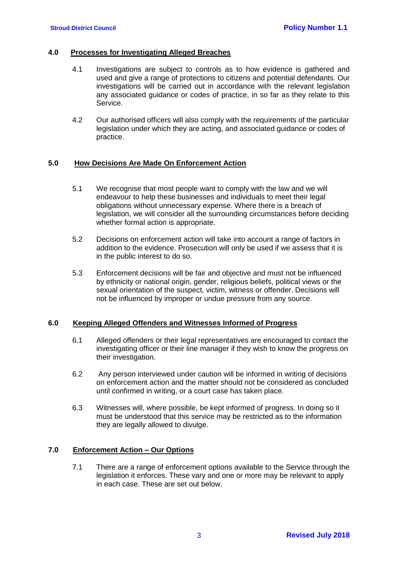#### **4.0 Processes for Investigating Alleged Breaches**

- 4.1 Investigations are subject to controls as to how evidence is gathered and used and give a range of protections to citizens and potential defendants. Our investigations will be carried out in accordance with the relevant legislation any associated guidance or codes of practice, in so far as they relate to this Service.
- 4.2 Our authorised officers will also comply with the requirements of the particular legislation under which they are acting, and associated guidance or codes of practice.

#### **5.0 How Decisions Are Made On Enforcement Action**

- 5.1 We recognise that most people want to comply with the law and we will endeavour to help these businesses and individuals to meet their legal obligations without unnecessary expense. Where there is a breach of legislation, we will consider all the surrounding circumstances before deciding whether formal action is appropriate.
- 5.2 Decisions on enforcement action will take into account a range of factors in addition to the evidence. Prosecution will only be used if we assess that it is in the public interest to do so.
- 5.3 Enforcement decisions will be fair and objective and must not be influenced by ethnicity or national origin, gender, religious beliefs, political views or the sexual orientation of the suspect, victim, witness or offender. Decisions will not be influenced by improper or undue pressure from any source.

#### **6.0 Keeping Alleged Offenders and Witnesses Informed of Progress**

- 6.1 Alleged offenders or their legal representatives are encouraged to contact the investigating officer or their line manager if they wish to know the progress on their investigation.
- 6.2 Any person interviewed under caution will be informed in writing of decisions on enforcement action and the matter should not be considered as concluded until confirmed in writing, or a court case has taken place.
- 6.3 Witnesses will, where possible, be kept informed of progress. In doing so it must be understood that this service may be restricted as to the information they are legally allowed to divulge.

## **7.0 Enforcement Action – Our Options**

7.1 There are a range of enforcement options available to the Service through the legislation it enforces. These vary and one or more may be relevant to apply in each case. These are set out below.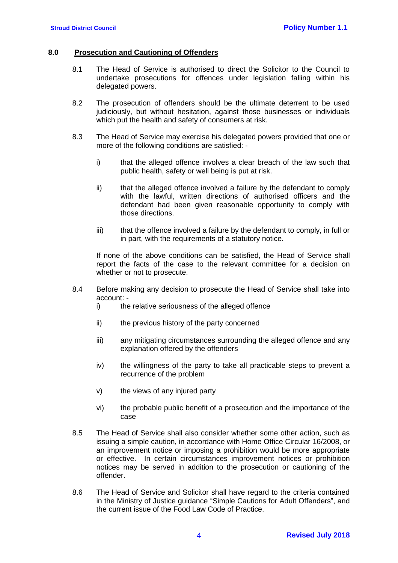#### **8.0 Prosecution and Cautioning of Offenders**

- 8.1 The Head of Service is authorised to direct the Solicitor to the Council to undertake prosecutions for offences under legislation falling within his delegated powers.
- 8.2 The prosecution of offenders should be the ultimate deterrent to be used judiciously, but without hesitation, against those businesses or individuals which put the health and safety of consumers at risk.
- 8.3 The Head of Service may exercise his delegated powers provided that one or more of the following conditions are satisfied:
	- i) that the alleged offence involves a clear breach of the law such that public health, safety or well being is put at risk.
	- ii) that the alleged offence involved a failure by the defendant to comply with the lawful, written directions of authorised officers and the defendant had been given reasonable opportunity to comply with those directions.
	- iii) that the offence involved a failure by the defendant to comply, in full or in part, with the requirements of a statutory notice.

If none of the above conditions can be satisfied, the Head of Service shall report the facts of the case to the relevant committee for a decision on whether or not to prosecute.

- 8.4 Before making any decision to prosecute the Head of Service shall take into account:
	- i) the relative seriousness of the alleged offence
	- ii) the previous history of the party concerned
	- iii) any mitigating circumstances surrounding the alleged offence and any explanation offered by the offenders
	- iv) the willingness of the party to take all practicable steps to prevent a recurrence of the problem
	- v) the views of any injured party
	- vi) the probable public benefit of a prosecution and the importance of the case
- 8.5 The Head of Service shall also consider whether some other action, such as issuing a simple caution, in accordance with Home Office Circular 16/2008, or an improvement notice or imposing a prohibition would be more appropriate or effective. In certain circumstances improvement notices or prohibition notices may be served in addition to the prosecution or cautioning of the offender.
- 8.6 The Head of Service and Solicitor shall have regard to the criteria contained in the Ministry of Justice guidance "Simple Cautions for Adult Offenders", and the current issue of the Food Law Code of Practice.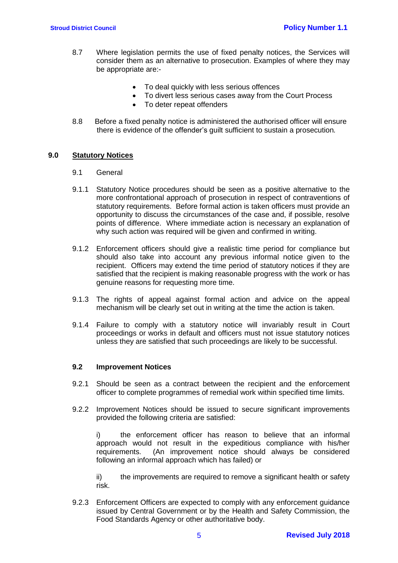- 8.7 Where legislation permits the use of fixed penalty notices, the Services will consider them as an alternative to prosecution. Examples of where they may be appropriate are:-
	- To deal quickly with less serious offences
	- To divert less serious cases away from the Court Process
	- To deter repeat offenders
- 8.8 Before a fixed penalty notice is administered the authorised officer will ensure there is evidence of the offender's guilt sufficient to sustain a prosecution*.*

## **9.0 Statutory Notices**

- 9.1 General
- 9.1.1 Statutory Notice procedures should be seen as a positive alternative to the more confrontational approach of prosecution in respect of contraventions of statutory requirements. Before formal action is taken officers must provide an opportunity to discuss the circumstances of the case and, if possible, resolve points of difference. Where immediate action is necessary an explanation of why such action was required will be given and confirmed in writing.
- 9.1.2 Enforcement officers should give a realistic time period for compliance but should also take into account any previous informal notice given to the recipient. Officers may extend the time period of statutory notices if they are satisfied that the recipient is making reasonable progress with the work or has genuine reasons for requesting more time.
- 9.1.3 The rights of appeal against formal action and advice on the appeal mechanism will be clearly set out in writing at the time the action is taken.
- 9.1.4 Failure to comply with a statutory notice will invariably result in Court proceedings or works in default and officers must not issue statutory notices unless they are satisfied that such proceedings are likely to be successful.

## **9.2 Improvement Notices**

- 9.2.1 Should be seen as a contract between the recipient and the enforcement officer to complete programmes of remedial work within specified time limits.
- 9.2.2 Improvement Notices should be issued to secure significant improvements provided the following criteria are satisfied:

i) the enforcement officer has reason to believe that an informal approach would not result in the expeditious compliance with his/her requirements. (An improvement notice should always be considered following an informal approach which has failed) or

ii) the improvements are required to remove a significant health or safety risk.

9.2.3 Enforcement Officers are expected to comply with any enforcement guidance issued by Central Government or by the Health and Safety Commission, the Food Standards Agency or other authoritative body.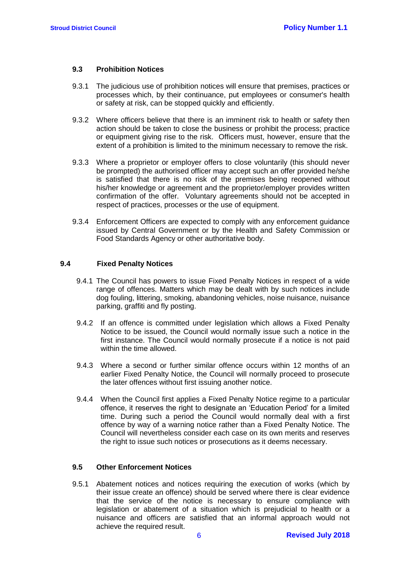### **9.3 Prohibition Notices**

- 9.3.1 The judicious use of prohibition notices will ensure that premises, practices or processes which, by their continuance, put employees or consumer's health or safety at risk, can be stopped quickly and efficiently.
- 9.3.2 Where officers believe that there is an imminent risk to health or safety then action should be taken to close the business or prohibit the process; practice or equipment giving rise to the risk. Officers must, however, ensure that the extent of a prohibition is limited to the minimum necessary to remove the risk.
- 9.3.3 Where a proprietor or employer offers to close voluntarily (this should never be prompted) the authorised officer may accept such an offer provided he/she is satisfied that there is no risk of the premises being reopened without his/her knowledge or agreement and the proprietor/employer provides written confirmation of the offer. Voluntary agreements should not be accepted in respect of practices, processes or the use of equipment.
- 9.3.4 Enforcement Officers are expected to comply with any enforcement guidance issued by Central Government or by the Health and Safety Commission or Food Standards Agency or other authoritative body.

## **9.4 Fixed Penalty Notices**

- 9.4.1 The Council has powers to issue Fixed Penalty Notices in respect of a wide range of offences. Matters which may be dealt with by such notices include dog fouling, littering, smoking, abandoning vehicles, noise nuisance, nuisance parking, graffiti and fly posting.
- 9.4.2 If an offence is committed under legislation which allows a Fixed Penalty Notice to be issued, the Council would normally issue such a notice in the first instance. The Council would normally prosecute if a notice is not paid within the time allowed.
- 9.4.3 Where a second or further similar offence occurs within 12 months of an earlier Fixed Penalty Notice, the Council will normally proceed to prosecute the later offences without first issuing another notice.
- 9.4.4 When the Council first applies a Fixed Penalty Notice regime to a particular offence, it reserves the right to designate an 'Education Period' for a limited time. During such a period the Council would normally deal with a first offence by way of a warning notice rather than a Fixed Penalty Notice. The Council will nevertheless consider each case on its own merits and reserves the right to issue such notices or prosecutions as it deems necessary.

## **9.5 Other Enforcement Notices**

9.5.1 Abatement notices and notices requiring the execution of works (which by their issue create an offence) should be served where there is clear evidence that the service of the notice is necessary to ensure compliance with legislation or abatement of a situation which is prejudicial to health or a nuisance and officers are satisfied that an informal approach would not achieve the required result.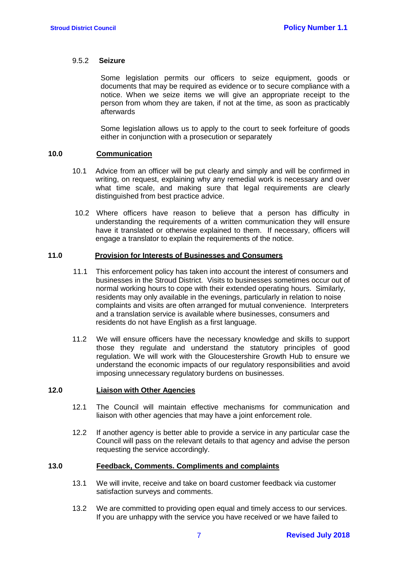### 9.5.2 **Seizure**

Some legislation permits our officers to seize equipment, goods or documents that may be required as evidence or to secure compliance with a notice. When we seize items we will give an appropriate receipt to the person from whom they are taken, if not at the time, as soon as practicably afterwards

Some legislation allows us to apply to the court to seek forfeiture of goods either in conjunction with a prosecution or separately

#### **10.0 Communication**

- 10.1 Advice from an officer will be put clearly and simply and will be confirmed in writing, on request, explaining why any remedial work is necessary and over what time scale, and making sure that legal requirements are clearly distinguished from best practice advice.
- 10.2 Where officers have reason to believe that a person has difficulty in understanding the requirements of a written communication they will ensure have it translated or otherwise explained to them. If necessary, officers will engage a translator to explain the requirements of the notice.

### **11.0 Provision for Interests of Businesses and Consumers**

- 11.1 This enforcement policy has taken into account the interest of consumers and businesses in the Stroud District. Visits to businesses sometimes occur out of normal working hours to cope with their extended operating hours. Similarly, residents may only available in the evenings, particularly in relation to noise complaints and visits are often arranged for mutual convenience. Interpreters and a translation service is available where businesses, consumers and residents do not have English as a first language.
- 11.2 We will ensure officers have the necessary knowledge and skills to support those they regulate and understand the statutory principles of good regulation. We will work with the Gloucestershire Growth Hub to ensure we understand the economic impacts of our regulatory responsibilities and avoid imposing unnecessary regulatory burdens on businesses.

### **12.0 Liaison with Other Agencies**

- 12.1 The Council will maintain effective mechanisms for communication and liaison with other agencies that may have a joint enforcement role.
- 12.2 If another agency is better able to provide a service in any particular case the Council will pass on the relevant details to that agency and advise the person requesting the service accordingly.

### **13.0 Feedback, Comments. Compliments and complaints**

- 13.1 We will invite, receive and take on board customer feedback via customer satisfaction surveys and comments.
- 13.2 We are committed to providing open equal and timely access to our services. If you are unhappy with the service you have received or we have failed to